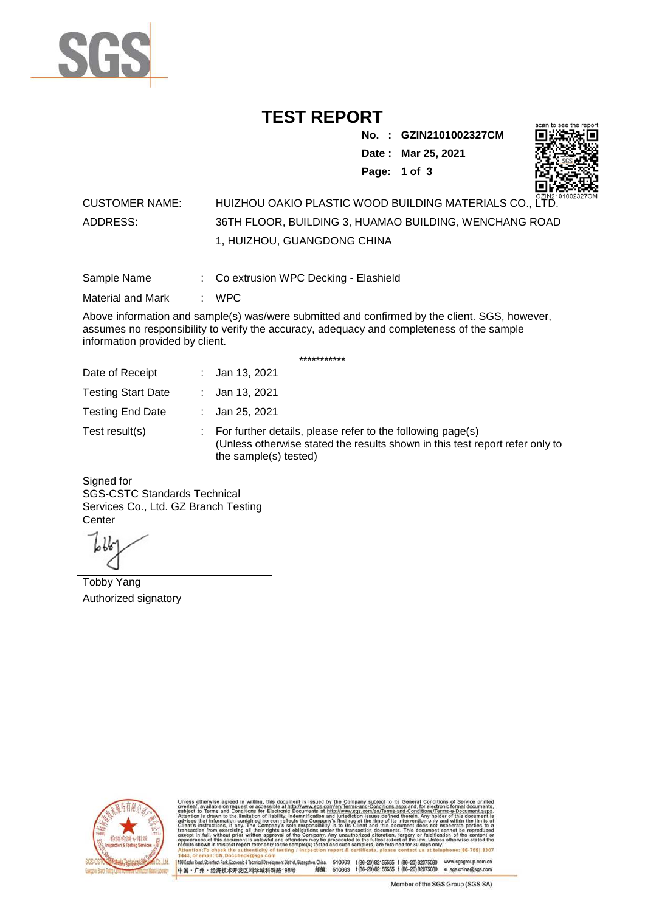

## **TEST REPORT**

**No. : GZIN2101002327CM**

**Date : Mar 25, 2021**



**Page: 1 of 3** 

## CUSTOMER NAME: HUIZHOU OAKIO PLASTIC WOOD BUILDING MATERIALS CO., LTD. ADDRESS: 36TH FLOOR, BUILDING 3, HUAMAO BUILDING, WENCHANG ROAD 1, HUIZHOU, GUANGDONG CHINA

Sample Name : Co extrusion WPC Decking - Elashield

Material and Mark : WPC

Above information and sample(s) was/were submitted and confirmed by the client. SGS, however, assumes no responsibility to verify the accuracy, adequacy and completeness of the sample information provided by client.

\*\*\*\*\*\*\*\*\*\*\*

| Date of Receipt           | : Jan 13, 2021                                                                                                                                                        |
|---------------------------|-----------------------------------------------------------------------------------------------------------------------------------------------------------------------|
| <b>Testing Start Date</b> | : Jan 13, 2021                                                                                                                                                        |
| <b>Testing End Date</b>   | : Jan 25, 2021                                                                                                                                                        |
| Test result(s)            | : For further details, please refer to the following page(s)<br>(Unless otherwise stated the results shown in this test report refer only to<br>the sample(s) tested) |

Signed for SGS-CSTC Standards Technical Services Co., Ltd. GZ Branch Testing **Center** 

Tobby Yang Authorized signatory



510663 t(86-20) 82155555 f (86-20) 82075080 www.sgsgroup.com.cn<br>510663 t(86-20) 82155555 f (86-20) 82075080 e sgs.china@sgs.com 198 Kezhu Road, Scientech Park, Eco nomic & Technical Devel tou, China. ant District C 邮编: 中国·广州·经济技术开发区科学城科珠路198号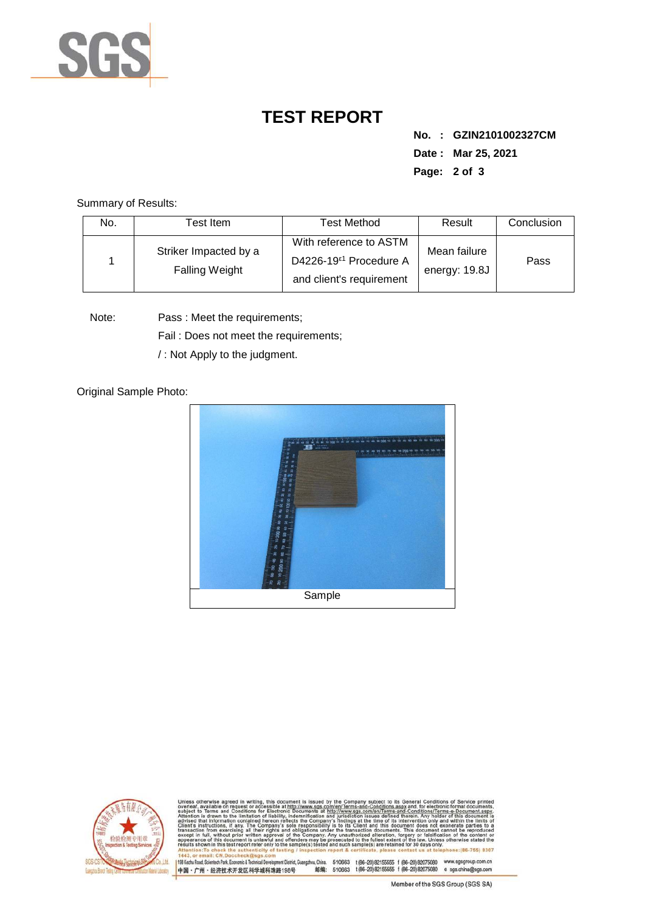

## **TEST REPORT**

**No. : GZIN2101002327CM Date : Mar 25, 2021 Page: 2 of 3** 

Summary of Results:

| No. | Test Item                                      | <b>Test Method</b>                                                                       | Result                        | Conclusion |
|-----|------------------------------------------------|------------------------------------------------------------------------------------------|-------------------------------|------------|
|     | Striker Impacted by a<br><b>Falling Weight</b> | With reference to ASTM<br>D4226-19 <sup>ε1</sup> Procedure A<br>and client's requirement | Mean failure<br>energy: 19.8J | Pass       |

Note: Pass : Meet the requirements;

Fail : Does not meet the requirements;

/ : Not Apply to the judgment.

Original Sample Photo:





Conditions/Terms-e-Do<br>rein: Any holder of this nentDistrict,Guangzhou,China. 510663 t (86–20) 82155555 f (86–20) 82075080 www.sgsgroup.com.cn<br>格198号 邮编: 510663 t (86–20) 82155555 f (86–20) 82075080 e sgs.china@sgs.com 198 Kezhu Road, Scientech Park, Economic & Technical Develo 中国·广州·经济技术开发区科学城科珠路198号